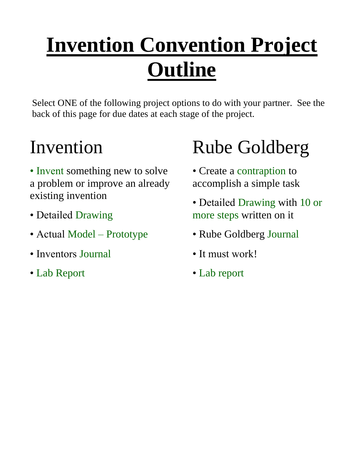# **Invention Convention Project Outline**

Select ONE of the following project options to do with your partner. See the back of this page for due dates at each stage of the project.

## Invention

- Invent something new to solve a problem or improve an already existing invention
- Detailed Drawing
- Actual Model Prototype
- Inventors Journal
- Lab Report

# Rube Goldberg

- Create a contraption to accomplish a simple task
- Detailed Drawing with 10 or more steps written on it
- Rube Goldberg Journal
- It must work!
- Lab report